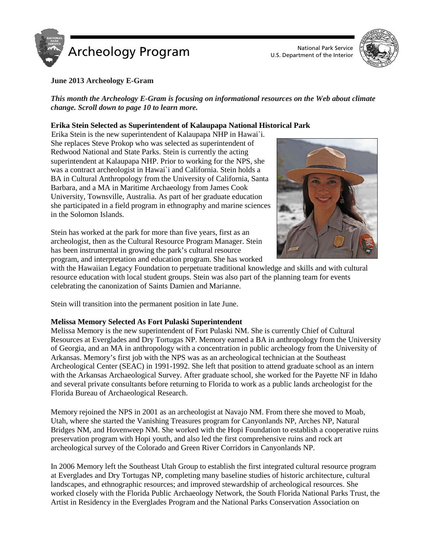

U.S. Department of the Interior



## **June 2013 Archeology E-Gram**

*This month the Archeology E-Gram is focusing on informational resources on the Web about climate change. Scroll down to page 10 to learn more.*

## **Erika Stein Selected as Superintendent of Kalaupapa National Historical Park**

Erika Stein is the new superintendent of Kalaupapa NHP in Hawai`i. She replaces Steve Prokop who was selected as superintendent of Redwood National and State Parks. Stein is currently the acting superintendent at Kalaupapa NHP. Prior to working for the NPS, she was a contract archeologist in Hawai`i and California. Stein holds a BA in Cultural Anthropology from the University of California, Santa Barbara, and a MA in Maritime Archaeology from James Cook University, Townsville, Australia. As part of her graduate education she participated in a field program in ethnography and marine sciences in the Solomon Islands.

Stein has worked at the park for more than five years, first as an archeologist, then as the Cultural Resource Program Manager. Stein has been instrumental in growing the park's cultural resource program, and interpretation and education program. She has worked

with the Hawaiian Legacy Foundation to perpetuate traditional knowledge and skills and with cultural resource education with local student groups. Stein was also part of the planning team for events celebrating the canonization of Saints Damien and Marianne.

Stein will transition into the permanent position in late June.

## **Melissa Memory Selected As Fort Pulaski Superintendent**

Melissa Memory is the new superintendent of Fort Pulaski NM. She is currently Chief of Cultural Resources at Everglades and Dry Tortugas NP. Memory earned a BA in anthropology from the University of Georgia, and an MA in anthropology with a concentration in public archeology from the University of Arkansas. Memory's first job with the NPS was as an archeological technician at the Southeast Archeological Center (SEAC) in 1991-1992. She left that position to attend graduate school as an intern with the Arkansas Archaeological Survey. After graduate school, she worked for the Payette NF in Idaho and several private consultants before returning to Florida to work as a public lands archeologist for the Florida Bureau of Archaeological Research.

Memory rejoined the NPS in 2001 as an archeologist at Navajo NM. From there she moved to Moab, Utah, where she started the Vanishing Treasures program for Canyonlands NP, Arches NP, Natural Bridges NM, and Hovenweep NM. She worked with the Hopi Foundation to establish a cooperative ruins preservation program with Hopi youth, and also led the first comprehensive ruins and rock art archeological survey of the Colorado and Green River Corridors in Canyonlands NP.

In 2006 Memory left the Southeast Utah Group to establish the first integrated cultural resource program at Everglades and Dry Tortugas NP, completing many baseline studies of historic architecture, cultural landscapes, and ethnographic resources; and improved stewardship of archeological resources. She worked closely with the Florida Public Archaeology Network, the South Florida National Parks Trust, the Artist in Residency in the Everglades Program and the National Parks Conservation Association on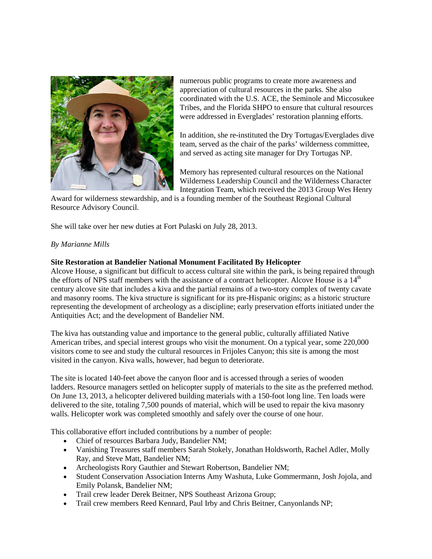

numerous public programs to create more awareness and appreciation of cultural resources in the parks. She also coordinated with the U.S. ACE, the Seminole and Miccosukee Tribes, and the Florida SHPO to ensure that cultural resources were addressed in Everglades' restoration planning efforts.

In addition, she re-instituted the Dry Tortugas/Everglades dive team, served as the chair of the parks' wilderness committee, and served as acting site manager for Dry Tortugas NP.

Memory has represented cultural resources on the National Wilderness Leadership Council and the Wilderness Character Integration Team, which received the 2013 Group Wes Henry

Award for wilderness stewardship, and is a founding member of the Southeast Regional Cultural Resource Advisory Council.

She will take over her new duties at Fort Pulaski on July 28, 2013.

# *By Marianne Mills*

## **Site Restoration at Bandelier National Monument Facilitated By Helicopter**

Alcove House, a significant but difficult to access cultural site within the park, is being repaired through the efforts of NPS staff members with the assistance of a contract helicopter. Alcove House is a  $14<sup>th</sup>$ century alcove site that includes a kiva and the partial remains of a two-story complex of twenty cavate and masonry rooms. The kiva structure is significant for its pre-Hispanic origins; as a historic structure representing the development of archeology as a discipline; early preservation efforts initiated under the Antiquities Act; and the development of Bandelier NM.

The kiva has outstanding value and importance to the general public, culturally affiliated Native American tribes, and special interest groups who visit the monument. On a typical year, some 220,000 visitors come to see and study the cultural resources in Frijoles Canyon; this site is among the most visited in the canyon. Kiva walls, however, had begun to deteriorate.

The site is located 140-feet above the canyon floor and is accessed through a series of wooden ladders. Resource managers settled on helicopter supply of materials to the site as the preferred method. On June 13, 2013, a helicopter delivered building materials with a 150-foot long line. Ten loads were delivered to the site, totaling 7,500 pounds of material, which will be used to repair the kiva masonry walls. Helicopter work was completed smoothly and safely over the course of one hour.

This collaborative effort included contributions by a number of people:

- Chief of resources Barbara Judy, Bandelier NM;
- Vanishing Treasures staff members Sarah Stokely, Jonathan Holdsworth, Rachel Adler, Molly Ray, and Steve Matt, Bandelier NM;
- Archeologists Rory Gauthier and Stewart Robertson, Bandelier NM;
- Student Conservation Association Interns Amy Washuta, Luke Gommermann, Josh Jojola, and Emily Polansk, Bandelier NM;
- Trail crew leader Derek Beitner, NPS Southeast Arizona Group;
- Trail crew members Reed Kennard, Paul Irby and Chris Beitner, Canyonlands NP;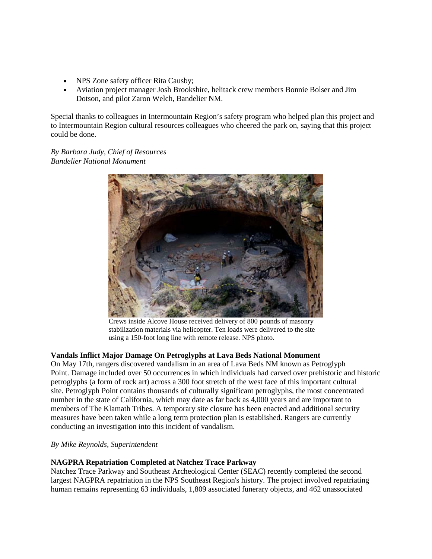- NPS Zone safety officer Rita Causby;
- Aviation project manager Josh Brookshire, helitack crew members Bonnie Bolser and Jim Dotson, and pilot Zaron Welch, Bandelier NM.

Special thanks to colleagues in Intermountain Region's safety program who helped plan this project and to Intermountain Region cultural resources colleagues who cheered the park on, saying that this project could be done.

*By Barbara Judy, Chief of Resources Bandelier National Monument*



Crews inside Alcove House received delivery of 800 pounds of masonry stabilization materials via helicopter. Ten loads were delivered to the site using a 150-foot long line with remote release. NPS photo.

# **Vandals Inflict Major Damage On Petroglyphs at Lava Beds National Monument**

On May 17th, rangers discovered vandalism in an area of Lava Beds NM known as Petroglyph Point. Damage included over 50 occurrences in which individuals had carved over prehistoric and historic petroglyphs (a form of rock art) across a 300 foot stretch of the west face of this important cultural site. Petroglyph Point contains thousands of culturally significant petroglyphs, the most concentrated number in the state of California, which may date as far back as 4,000 years and are important to members of The Klamath Tribes. A temporary site closure has been enacted and additional security measures have been taken while a long term protection plan is established. Rangers are currently conducting an investigation into this incident of vandalism.

## *By Mike Reynolds, Superintendent*

## **NAGPRA Repatriation Completed at Natchez Trace Parkway**

Natchez Trace Parkway and Southeast Archeological Center (SEAC) recently completed the second largest NAGPRA repatriation in the NPS Southeast Region's history. The project involved repatriating human remains representing 63 individuals, 1,809 associated funerary objects, and 462 unassociated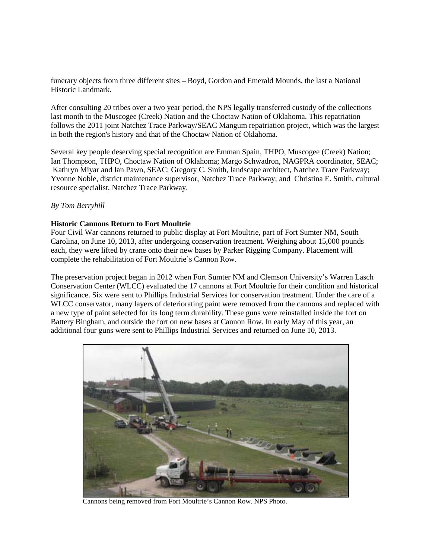funerary objects from three different sites – Boyd, Gordon and Emerald Mounds, the last a National Historic Landmark.

After consulting 20 tribes over a two year period, the NPS legally transferred custody of the collections last month to the Muscogee (Creek) Nation and the Choctaw Nation of Oklahoma. This repatriation follows the 2011 joint Natchez Trace Parkway/SEAC Mangum repatriation project, which was the largest in both the region's history and that of the Choctaw Nation of Oklahoma.

Several key people deserving special recognition are Emman Spain, THPO, Muscogee (Creek) Nation; Ian Thompson, THPO, Choctaw Nation of Oklahoma; Margo Schwadron, NAGPRA coordinator, SEAC; Kathryn Miyar and Ian Pawn, SEAC; Gregory C. Smith, landscape architect, Natchez Trace Parkway; Yvonne Noble, district maintenance supervisor, Natchez Trace Parkway; and Christina E. Smith, cultural resource specialist, Natchez Trace Parkway.

## *By Tom Berryhill*

#### **Historic Cannons Return to Fort Moultrie**

Four Civil War cannons returned to public display at Fort Moultrie, part of Fort Sumter NM, South Carolina, on June 10, 2013, after undergoing conservation treatment. Weighing about 15,000 pounds each, they were lifted by crane onto their new bases by Parker Rigging Company. Placement will complete the rehabilitation of Fort Moultrie's Cannon Row.

The preservation project began in 2012 when Fort Sumter NM and Clemson University's Warren Lasch Conservation Center (WLCC) evaluated the 17 cannons at Fort Moultrie for their condition and historical significance. Six were sent to Phillips Industrial Services for conservation treatment. Under the care of a WLCC conservator, many layers of deteriorating paint were removed from the cannons and replaced with a new type of paint selected for its long term durability. These guns were reinstalled inside the fort on Battery Bingham, and outside the fort on new bases at Cannon Row. In early May of this year, an additional four guns were sent to Phillips Industrial Services and returned on June 10, 2013.



Cannons being removed from Fort Moultrie's Cannon Row. NPS Photo.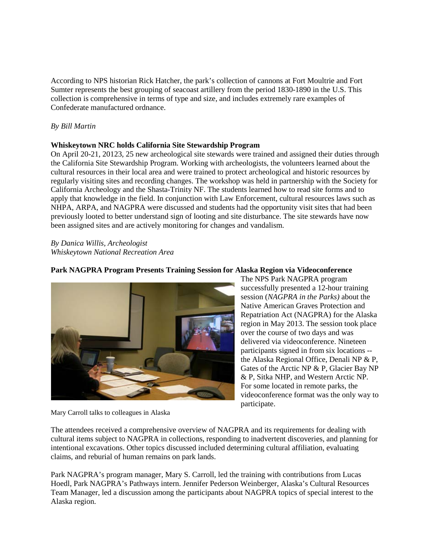According to NPS historian Rick Hatcher, the park's collection of cannons at Fort Moultrie and Fort Sumter represents the best grouping of seacoast artillery from the period 1830-1890 in the U.S. This collection is comprehensive in terms of type and size, and includes extremely rare examples of Confederate manufactured ordnance.

## *By Bill Martin*

## **Whiskeytown NRC holds California Site Stewardship Program**

On April 20-21, 20123, 25 new archeological site stewards were trained and assigned their duties through the California Site Stewardship Program. Working with archeologists, the volunteers learned about the cultural resources in their local area and were trained to protect archeological and historic resources by regularly visiting sites and recording changes. The workshop was held in partnership with the Society for California Archeology and the Shasta-Trinity NF. The students learned how to read site forms and to apply that knowledge in the field. In conjunction with Law Enforcement, cultural resources laws such as NHPA, ARPA, and NAGPRA were discussed and students had the opportunity visit sites that had been previously looted to better understand sign of looting and site disturbance. The site stewards have now been assigned sites and are actively monitoring for changes and vandalism.

*By Danica Willis, Archeologist Whiskeytown National Recreation Area*



# **Park NAGPRA Program Presents Training Session for Alaska Region via Videoconference**

The NPS Park NAGPRA program successfully presented a 12-hour training session (*NAGPRA in the Parks)* about the Native American Graves Protection and Repatriation Act (NAGPRA) for the Alaska region in May 2013. The session took place over the course of two days and was delivered via videoconference. Nineteen participants signed in from six locations - the Alaska Regional Office, Denali NP & P, Gates of the Arctic NP & P, Glacier Bay NP & P, Sitka NHP, and Western Arctic NP. For some located in remote parks, the videoconference format was the only way to participate.

Mary Carroll talks to colleagues in Alaska

The attendees received a comprehensive overview of NAGPRA and its requirements for dealing with cultural items subject to NAGPRA in collections, responding to inadvertent discoveries, and planning for intentional excavations. Other topics discussed included determining cultural affiliation, evaluating claims, and reburial of human remains on park lands.

Park NAGPRA's program manager, Mary S. Carroll, led the training with contributions from Lucas Hoedl, Park NAGPRA's Pathways intern. Jennifer Pederson Weinberger, Alaska's Cultural Resources Team Manager, led a discussion among the participants about NAGPRA topics of special interest to the Alaska region.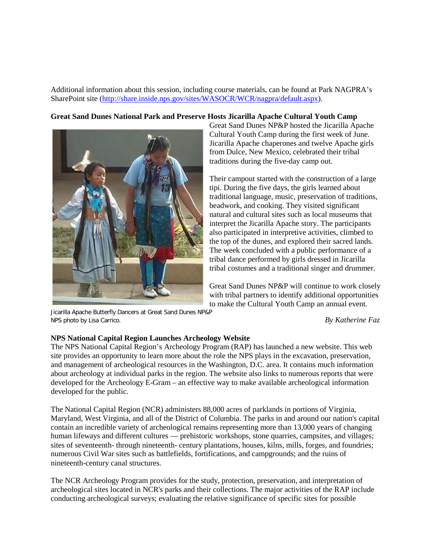Additional information about this session, including course materials, can be found at Park NAGPRA's SharePoint site [\(http://share.inside.nps.gov/sites/WASOCR/WCR/nagpra/default.aspx\)](http://share.inside.nps.gov/sites/WASOCR/WCR/nagpra/default.aspx).

## **Great Sand Dunes National Park and Preserve Hosts Jicarilla Apache Cultural Youth Camp**



Jicarilla Apache Butterfly Dancers at Great Sand Dunes NP&P NPS photo by Lisa Carrico. *By Katherine Faz*

Great Sand Dunes NP&P hosted the Jicarilla Apache Cultural Youth Camp during the first week of June. Jicarilla Apache chaperones and twelve Apache girls from Dulce, New Mexico, celebrated their tribal traditions during the five-day camp out.

Their campout started with the construction of a large tipi. During the five days, the girls learned about traditional language, music, preservation of traditions, beadwork, and cooking. They visited significant natural and cultural sites such as local museums that interpret the Jicarilla Apache story. The participants also participated in interpretive activities, climbed to the top of the dunes, and explored their sacred lands. The week concluded with a public performance of a tribal dance performed by girls dressed in Jicarilla tribal costumes and a traditional singer and drummer.

Great Sand Dunes NP&P will continue to work closely with tribal partners to identify additional opportunities to make the Cultural Youth Camp an annual event.

#### **NPS National Capital Region Launches Archeology Website**

The NPS National Capital Region's Archeology Program (RAP) has launched a new website. This web site provides an opportunity to learn more about the role the NPS plays in the excavation, preservation, and management of archeological resources in the Washington, D.C. area. It contains much information about archeology at individual parks in the region. The website also links to numerous reports that were developed for the Archeology E-Gram – an effective way to make available archeological information developed for the public.

The National Capital Region (NCR) administers 88,000 acres of parklands in portions of Virginia, Maryland, West Virginia, and all of the District of Columbia. The parks in and around our nation's capital contain an incredible variety of archeological remains representing more than 13,000 years of changing human lifeways and different cultures — prehistoric workshops, stone quarries, campsites, and villages; sites of seventeenth- through nineteenth- century plantations, houses, kilns, mills, forges, and foundries; numerous Civil War sites such as battlefields, fortifications, and campgrounds; and the ruins of nineteenth-century canal structures.

The NCR Archeology Program provides for the study, protection, preservation, and interpretation of archeological sites located in NCR's parks and their collections. The major activities of the RAP include conducting archeological surveys; evaluating the relative significance of specific sites for possible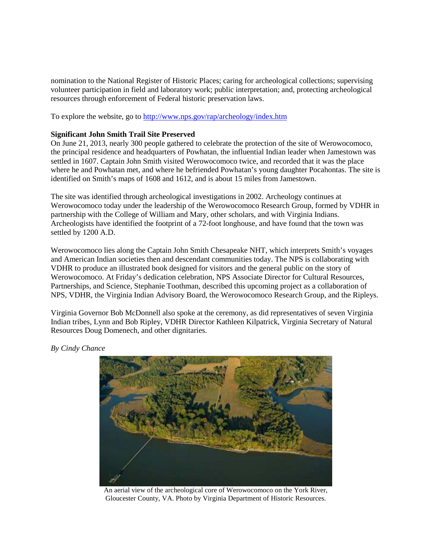nomination to the National Register of Historic Places; caring for archeological collections; supervising volunteer participation in field and laboratory work; public interpretation; and, protecting archeological resources through enforcement of Federal historic preservation laws.

To explore the website, go to<http://www.nps.gov/rap/archeology/index.htm>

## **Significant John Smith Trail Site Preserved**

On June 21, 2013, nearly 300 people gathered to celebrate the protection of the site of Werowocomoco, the principal residence and headquarters of Powhatan, the influential Indian leader when Jamestown was settled in 1607. Captain John Smith visited Werowocomoco twice, and recorded that it was the place where he and Powhatan met, and where he befriended Powhatan's young daughter Pocahontas. The site is identified on Smith's maps of 1608 and 1612, and is about 15 miles from Jamestown.

The site was identified through archeological investigations in 2002. Archeology continues at Werowocomoco today under the leadership of the Werowocomoco Research Group, formed by VDHR in partnership with the College of William and Mary, other scholars, and with Virginia Indians. Archeologists have identified the footprint of a 72-foot longhouse, and have found that the town was settled by 1200 A.D.

Werowocomoco lies along the Captain John Smith Chesapeake NHT, which interprets Smith's voyages and American Indian societies then and descendant communities today. The NPS is collaborating with VDHR to produce an illustrated book designed for visitors and the general public on the story of Werowocomoco. At Friday's dedication celebration, NPS Associate Director for Cultural Resources, Partnerships, and Science, Stephanie Toothman, described this upcoming project as a collaboration of NPS, VDHR, the Virginia Indian Advisory Board, the Werowocomoco Research Group, and the Ripleys.

Virginia Governor Bob McDonnell also spoke at the ceremony, as did representatives of seven Virginia Indian tribes, Lynn and Bob Ripley, VDHR Director Kathleen Kilpatrick, Virginia Secretary of Natural Resources Doug Domenech, and other dignitaries.

*By Cindy Chance*



An aerial view of the archeological core of Werowocomoco on the York River, Gloucester County, VA. Photo by Virginia Department of Historic Resources.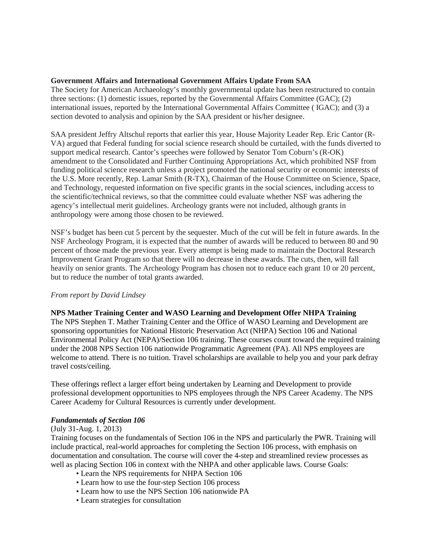## **Government Affairs and International Government Affairs Update From SAA**

The Society for American Archaeology's monthly governmental update has been restructured to contain three sections: (1) domestic issues, reported by the Governmental Affairs Committee (GAC); (2) international issues, reported by the International Governmental Affairs Committee ( IGAC); and (3) a section devoted to analysis and opinion by the SAA president or his/her designee.

SAA president Jeffry Altschul reports that earlier this year, House Majority Leader Rep. Eric Cantor (R-VA) argued that Federal funding for social science research should be curtailed, with the funds diverted to support medical research. Cantor's speeches were followed by Senator Tom Coburn's (R-OK) amendment to the Consolidated and Further Continuing Appropriations Act, which prohibited NSF from funding political science research unless a project promoted the national security or economic interests of the U.S. More recently, Rep. Lamar Smith (R-TX), Chairman of the House Committee on Science, Space, and Technology, requested information on five specific grants in the social sciences, including access to the scientific/technical reviews, so that the committee could evaluate whether NSF was adhering the agency's intellectual merit guidelines. Archeology grants were not included, although grants in anthropology were among those chosen to be reviewed.

NSF's budget has been cut 5 percent by the sequester. Much of the cut will be felt in future awards. In the NSF Archeology Program, it is expected that the number of awards will be reduced to between 80 and 90 percent of those made the previous year. Every attempt is being made to maintain the Doctoral Research Improvement Grant Program so that there will no decrease in these awards. The cuts, then, will fall heavily on senior grants. The Archeology Program has chosen not to reduce each grant 10 or 20 percent, but to reduce the number of total grants awarded.

## *From report by David Lindsey*

## **NPS Mather Training Center and WASO Learning and Development Offer NHPA Training**

The NPS Stephen T. Mather Training Center and the Office of WASO Learning and Development are sponsoring opportunities for National Historic Preservation Act (NHPA) Section 106 and National Environmental Policy Act (NEPA)/Section 106 training. These courses count toward the required training under the 2008 NPS Section 106 nationwide Programmatic Agreement (PA). All NPS employees are welcome to attend. There is no tuition. Travel scholarships are available to help you and your park defray travel costs/ceiling.

These offerings reflect a larger effort being undertaken by Learning and Development to provide professional development opportunities to NPS employees through the NPS Career Academy. The NPS Career Academy for Cultural Resources is currently under development.

## *Fundamentals of Section 106*

## (July 31-Aug. 1, 2013)

Training focuses on the fundamentals of Section 106 in the NPS and particularly the PWR. Training will include practical, real-world approaches for completing the Section 106 process, with emphasis on documentation and consultation. The course will cover the 4-step and streamlined review processes as well as placing Section 106 in context with the NHPA and other applicable laws. Course Goals:

- Learn the NPS requirements for NHPA Section 106
- Learn how to use the four-step Section 106 process
- Learn how to use the NPS Section 106 nationwide PA
- Learn strategies for consultation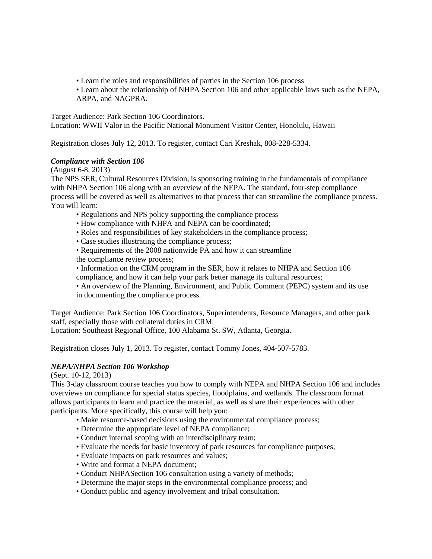- Learn the roles and responsibilities of parties in the Section 106 process
- Learn about the relationship of NHPA Section 106 and other applicable laws such as the NEPA, ARPA, and NAGPRA.

Target Audience: Park Section 106 Coordinators.

Location: WWII Valor in the Pacific National Monument Visitor Center, Honolulu, Hawaii

Registration closes July 12, 2013. To register, contact Cari Kreshak, 808-228-5334.

# *Compliance with Section 106*

(August 6-8, 2013)

The NPS SER, Cultural Resources Division, is sponsoring training in the fundamentals of compliance with NHPA Section 106 along with an overview of the NEPA. The standard, four-step compliance process will be covered as well as alternatives to that process that can streamline the compliance process. You will learn:

- Regulations and NPS policy supporting the compliance process
- How compliance with NHPA and NEPA can be coordinated;
- Roles and responsibilities of key stakeholders in the compliance process;
- Case studies illustrating the compliance process;
- Requirements of the 2008 nationwide PA and how it can streamline the compliance review process;
- Information on the CRM program in the SER, how it relates to NHPA and Section 106 compliance, and how it can help your park better manage its cultural resources;
- An overview of the Planning, Environment, and Public Comment (PEPC) system and its use in documenting the compliance process.

Target Audience: Park Section 106 Coordinators, Superintendents, Resource Managers, and other park staff, especially those with collateral duties in CRM.

Location: Southeast Regional Office, 100 Alabama St. SW, Atlanta, Georgia.

Registration closes July 1, 2013. To register, contact Tommy Jones, 404-507-5783.

# *NEPA/NHPA Section 106 Workshop*

(Sept. 10-12, 2013)

This 3-day classroom course teaches you how to comply with NEPA and NHPA Section 106 and includes overviews on compliance for special status species, floodplains, and wetlands. The classroom format allows participants to learn and practice the material, as well as share their experiences with other participants. More specifically, this course will help you:

- Make resource-based decisions using the environmental compliance process;
- Determine the appropriate level of NEPA compliance;
- Conduct internal scoping with an interdisciplinary team;
- Evaluate the needs for basic inventory of park resources for compliance purposes;
- Evaluate impacts on park resources and values;
- Write and format a NEPA document;
- Conduct NHPASection 106 consultation using a variety of methods;
- Determine the major steps in the environmental compliance process; and
- Conduct public and agency involvement and tribal consultation.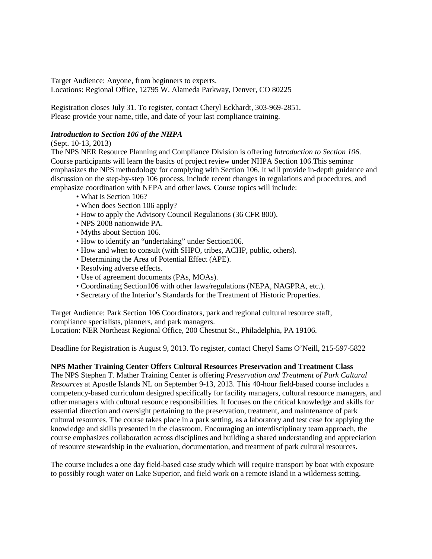Target Audience: Anyone, from beginners to experts. Locations: Regional Office, 12795 W. Alameda Parkway, Denver, CO 80225

Registration closes July 31. To register, contact Cheryl Eckhardt, 303-969-2851. Please provide your name, title, and date of your last compliance training.

# *Introduction to Section 106 of the NHPA*

(Sept. 10-13, 2013)

The NPS NER Resource Planning and Compliance Division is offering *Introduction to Section 106*. Course participants will learn the basics of project review under NHPA Section 106.This seminar emphasizes the NPS methodology for complying with Section 106. It will provide in-depth guidance and discussion on the step-by-step 106 process, include recent changes in regulations and procedures, and emphasize coordination with NEPA and other laws. Course topics will include:

- What is Section 106?
- When does Section 106 apply?
- How to apply the Advisory Council Regulations (36 CFR 800).
- NPS 2008 nationwide PA.
- Myths about Section 106.
- How to identify an "undertaking" under Section106.
- How and when to consult (with SHPO, tribes, ACHP, public, others).
- Determining the Area of Potential Effect (APE).
- Resolving adverse effects.
- Use of agreement documents (PAs, MOAs).
- Coordinating Section106 with other laws/regulations (NEPA, NAGPRA, etc.).
- Secretary of the Interior's Standards for the Treatment of Historic Properties.

Target Audience: Park Section 106 Coordinators, park and regional cultural resource staff, compliance specialists, planners, and park managers.

Location: NER Northeast Regional Office, 200 Chestnut St., Philadelphia, PA 19106.

Deadline for Registration is August 9, 2013. To register, contact Cheryl Sams O'Neill, 215-597-5822

## **NPS Mather Training Center Offers Cultural Resources Preservation and Treatment Class**

The NPS Stephen T. Mather Training Center is offering *Preservation and Treatment of Park Cultural Resources* at Apostle Islands NL on September 9-13, 2013. This 40-hour field-based course includes a competency-based curriculum designed specifically for facility managers, cultural resource managers, and other managers with cultural resource responsibilities. It focuses on the critical knowledge and skills for essential direction and oversight pertaining to the preservation, treatment, and maintenance of park cultural resources. The course takes place in a park setting, as a laboratory and test case for applying the knowledge and skills presented in the classroom. Encouraging an interdisciplinary team approach, the course emphasizes collaboration across disciplines and building a shared understanding and appreciation of resource stewardship in the evaluation, documentation, and treatment of park cultural resources.

The course includes a one day field-based case study which will require transport by boat with exposure to possibly rough water on Lake Superior, and field work on a remote island in a wilderness setting.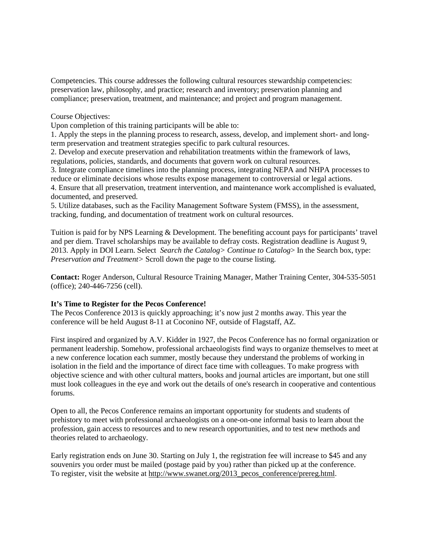Competencies. This course addresses the following cultural resources stewardship competencies: preservation law, philosophy, and practice; research and inventory; preservation planning and compliance; preservation, treatment, and maintenance; and project and program management.

Course Objectives:

Upon completion of this training participants will be able to:

1. Apply the steps in the planning process to research, assess, develop, and implement short- and longterm preservation and treatment strategies specific to park cultural resources.

2. Develop and execute preservation and rehabilitation treatments within the framework of laws, regulations, policies, standards, and documents that govern work on cultural resources.

3. Integrate compliance timelines into the planning process, integrating NEPA and NHPA processes to reduce or eliminate decisions whose results expose management to controversial or legal actions.

4. Ensure that all preservation, treatment intervention, and maintenance work accomplished is evaluated, documented, and preserved.

5. Utilize databases, such as the Facility Management Software System (FMSS), in the assessment, tracking, funding, and documentation of treatment work on cultural resources.

Tuition is paid for by NPS Learning & Development. The benefiting account pays for participants' travel and per diem. Travel scholarships may be available to defray costs. Registration deadline is August 9, 2013. Apply in DOI Learn. Select *Search the Catalog> Continue to Catalog*> In the Search box, type: *Preservation and Treatment>* Scroll down the page to the course listing.

**Contact:** Roger Anderson, Cultural Resource Training Manager, Mather Training Center, 304-535-5051 (office); 240-446-7256 (cell).

## **It's Time to Register for the Pecos Conference!**

The Pecos Conference 2013 is quickly approaching; it's now just 2 months away. This year the conference will be held August 8-11 at Coconino NF, outside of Flagstaff, AZ.

First inspired and organized by A.V. Kidder in 1927, the Pecos Conference has no formal organization or permanent leadership. Somehow, professional archaeologists find ways to organize themselves to meet at a new conference location each summer, mostly because they understand the problems of working in isolation in the field and the importance of direct face time with colleagues. To make progress with objective science and with other cultural matters, books and journal articles are important, but one still must look colleagues in the eye and work out the details of one's research in cooperative and contentious forums.

Open to all, the Pecos Conference remains an important opportunity for students and students of prehistory to meet with professional archaeologists on a one-on-one informal basis to learn about the profession, gain access to resources and to new research opportunities, and to test new methods and theories related to archaeology.

Early registration ends on June 30. Starting on July 1, the registration fee will increase to \$45 and any souvenirs you order must be mailed (postage paid by you) rather than picked up at the conference. To register, visit the website at [http://www.swanet.org/2013\\_pecos\\_conference/prereg.html.](http://www.swanet.org/2013_pecos_conference/prereg.html)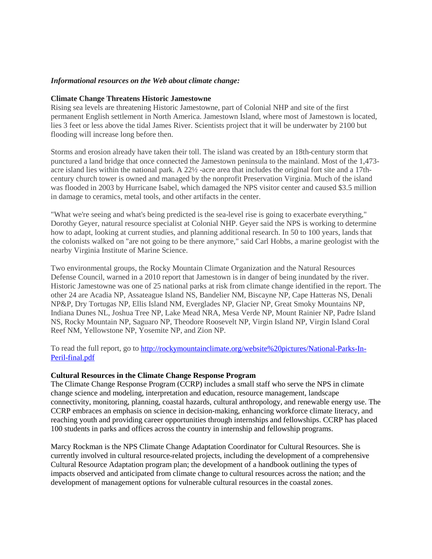#### *Informational resources on the Web about climate change:*

#### **Climate Change Threatens Historic Jamestowne**

Rising sea levels are threatening Historic Jamestowne, part of Colonial NHP and site of the first permanent English settlement in North America. Jamestown Island, where most of Jamestown is located, lies 3 feet or less above the tidal James River. Scientists project that it will be underwater by 2100 but flooding will increase long before then.

Storms and erosion already have taken their toll. The island was created by an 18th-century storm that punctured a land bridge that once connected the Jamestown peninsula to the mainland. Most of the 1,473 acre island lies within the national park. A 22½ -acre area that includes the original fort site and a 17thcentury church tower is owned and managed by the nonprofit Preservation Virginia. Much of the island was flooded in 2003 by Hurricane Isabel, which damaged the NPS visitor center and caused \$3.5 million in damage to ceramics, metal tools, and other artifacts in the center.

"What we're seeing and what's being predicted is the sea-level rise is going to exacerbate everything," Dorothy Geyer, natural resource specialist at Colonial NHP. Geyer said the NPS is working to determine how to adapt, looking at current studies, and planning additional research. In 50 to 100 years, lands that the colonists walked on "are not going to be there anymore," said Carl Hobbs, a marine geologist with the nearby Virginia Institute of Marine Science.

Two environmental groups, the Rocky Mountain Climate Organization and the Natural Resources Defense Council, warned in a 2010 report that Jamestown is in danger of being inundated by the river. Historic Jamestowne was one of 25 national parks at risk from climate change identified in the report. The other 24 are Acadia NP, Assateague Island NS, Bandelier NM, Biscayne NP, Cape Hatteras NS, Denali NP&P, Dry Tortugas NP, Ellis Island NM, Everglades NP, Glacier NP, Great Smoky Mountains NP, Indiana Dunes NL, Joshua Tree NP, Lake Mead NRA, Mesa Verde NP, Mount Rainier NP, Padre Island NS, Rocky Mountain NP, Saguaro NP, Theodore Roosevelt NP, Virgin Island NP, Virgin Island Coral Reef NM, Yellowstone NP, Yosemite NP, and Zion NP.

To read the full report, go to [http://rockymountainclimate.org/website%20pictures/National-Parks-In-](http://rockymountainclimate.org/website%20pictures/National-Parks-In-Peril-final.pdf)[Peril-final.pdf](http://rockymountainclimate.org/website%20pictures/National-Parks-In-Peril-final.pdf)

#### **Cultural Resources in the Climate Change Response Program**

The Climate Change Response Program (CCRP) includes a small staff who serve the NPS in climate change science and modeling, interpretation and education, resource management, landscape connectivity, monitoring, planning, coastal hazards, cultural anthropology, and renewable energy use. The CCRP embraces an emphasis on science in decision-making, enhancing workforce climate literacy, and reaching youth and providing career opportunities through internships and fellowships. CCRP has placed 100 students in parks and offices across the country in internship and fellowship programs.

Marcy Rockman is the NPS Climate Change Adaptation Coordinator for Cultural Resources. She is currently involved in cultural resource-related projects, including the development of a comprehensive Cultural Resource Adaptation program plan; the development of a handbook outlining the types of impacts observed and anticipated from climate change to cultural resources across the nation; and the development of management options for vulnerable cultural resources in the coastal zones.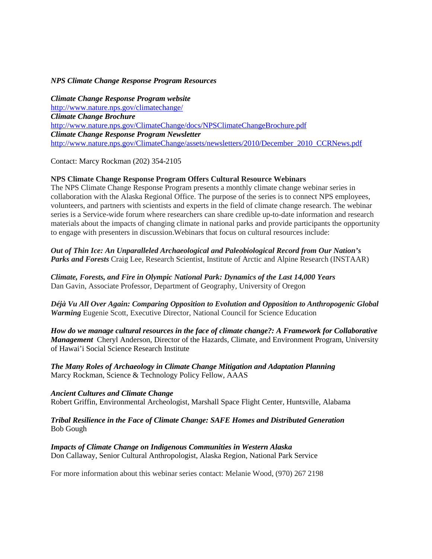#### *NPS Climate Change Response Program Resources*

*Climate Change Response Program website* <http://www.nature.nps.gov/climatechange/> *Climate Change Brochure* <http://www.nature.nps.gov/ClimateChange/docs/NPSClimateChangeBrochure.pdf> *Climate Change Response Program Newsletter* [http://www.nature.nps.gov/ClimateChange/assets/newsletters/2010/December\\_2010\\_CCRNews.pdf](http://www.nature.nps.gov/ClimateChange/assets/newsletters/2010/December_2010_CCRNews.pdf)

Contact: Marcy Rockman (202) 354-2105

## **NPS Climate Change Response Program Offers Cultural Resource Webinars**

The NPS Climate Change Response Program presents a monthly climate change webinar series in collaboration with the Alaska Regional Office. The purpose of the series is to connect NPS employees, volunteers, and partners with scientists and experts in the field of climate change research. The webinar series is a Service-wide forum where researchers can share credible up-to-date information and research materials about the impacts of changing climate in national parks and provide participants the opportunity to engage with presenters in discussion.Webinars that focus on cultural resources include:

*Out of Thin Ice: An Unparalleled Archaeological and Paleobiological Record from Our Nation's Parks and Forests* Craig Lee, Research Scientist, Institute of Arctic and Alpine Research (INSTAAR)

*Climate, Forests, and Fire in Olympic National Park: Dynamics of the Last 14,000 Years* Dan Gavin, Associate Professor, Department of Geography, University of Oregon

*Déjà Vu All Over Again: Comparing Opposition to Evolution and Opposition to Anthropogenic Global Warming* Eugenie Scott, Executive Director, National Council for Science Education

*How do we manage cultural resources in the face of climate change?: A Framework for Collaborative Management* Cheryl Anderson, Director of the Hazards, Climate, and Environment Program, University of Hawai'i Social Science Research Institute

*The Many Roles of Archaeology in Climate Change Mitigation and Adaptation Planning* Marcy Rockman, Science & Technology Policy Fellow, AAAS

#### *Ancient Cultures and Climate Change*

Robert Griffin, Environmental Archeologist, Marshall Space Flight Center, Huntsville, Alabama

## *Tribal Resilience in the Face of Climate Change: SAFE Homes and Distributed Generation* Bob Gough

#### *Impacts of Climate Change on Indigenous Communities in Western Alaska* Don Callaway, Senior Cultural Anthropologist, Alaska Region, National Park Service

For more information about this webinar series contact: Melanie Wood, (970) 267 2198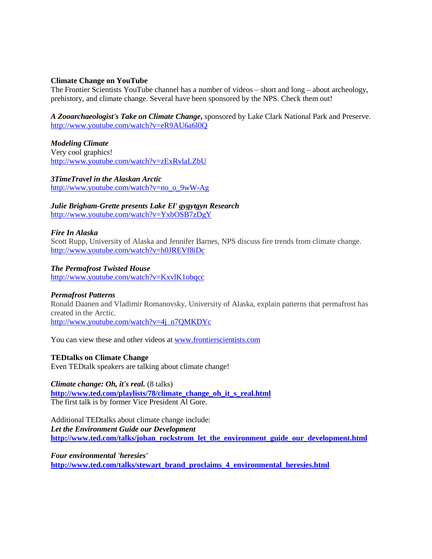## **Climate Change on YouTube**

The Frontier Scientists YouTube channel has a number of videos – short and long – about archeology, prehistory, and climate change. Several have been sponsored by the NPS. Check them out!

*A Zooarchaeologist's Take on Climate Change***,** sponsored by Lake Clark National Park and Preserve. <http://www.youtube.com/watch?v=eR9AU6a6l0Q>

*Modeling Climate* Very cool graphics! <http://www.youtube.com/watch?v=zExRvlaLZbU>

*3TimeTravel in the Alaskan Arctic* [http://www.youtube.com/watch?v=no\\_o\\_9wW-Ag](http://www.youtube.com/watch?v=no_o_9wW-Ag)

*Julie Brigham-Grette presents Lake El' gygytgyn Research*  <http://www.youtube.com/watch?v=YxbOSB7zDgY>

## *Fire In Alaska*

Scott Rupp, University of Alaska and Jennifer Barnes, NPS discuss fire trends from climate change. <http://www.youtube.com/watch?v=h0JREVf8iDc>

*The Permafrost Twisted House* 

<http://www.youtube.com/watch?v=KxvlK1obqcc>

#### *Permafrost Patterns*

Ronald Daanen and Vladimir Romanovsky, University of Alaska, explain patterns that permafrost has created in the Arctic. [http://www.youtube.com/watch?v=4j\\_n7QMKDYc](http://www.youtube.com/watch?v=4j_n7QMKDYc)

You can view these and other videos at [www.frontierscientists.com](http://www.frontierscientists.com/)

## **TEDtalks on Climate Change**

Even TEDtalk speakers are talking about climate change!

*Climate change: Oh, it's real.* (8 talks) **[http://www.ted.com/playlists/78/climate\\_change\\_oh\\_it\\_s\\_real.html](http://www.ted.com/playlists/78/climate_change_oh_it_s_real.html)** The first talk is by former Vice President Al Gore.

Additional TEDtalks about climate change include: *Let the Environment Guide our Development* **[http://www.ted.com/talks/johan\\_rockstrom\\_let\\_the\\_environment\\_guide\\_our\\_development.html](http://www.ted.com/talks/johan_rockstrom_let_the_environment_guide_our_development.html)**

*Four environmental 'heresies'* **[http://www.ted.com/talks/stewart\\_brand\\_proclaims\\_4\\_environmental\\_heresies.html](http://www.ted.com/talks/stewart_brand_proclaims_4_environmental_heresies.html)**